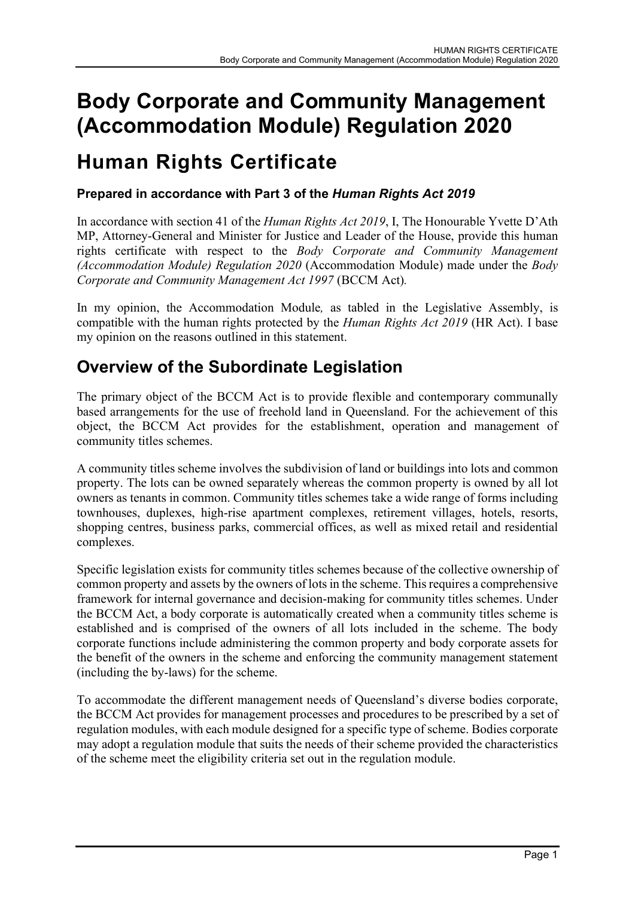# Body Corporate and Community Management (Accommodation Module) Regulation 2020

# Human Rights Certificate

### Prepared in accordance with Part 3 of the Human Rights Act 2019

In accordance with section 41 of the *Human Rights Act 2019*, I, The Honourable Yvette D'Ath MP, Attorney-General and Minister for Justice and Leader of the House, provide this human rights certificate with respect to the Body Corporate and Community Management (Accommodation Module) Regulation 2020 (Accommodation Module) made under the Body Corporate and Community Management Act 1997 (BCCM Act).

In my opinion, the Accommodation Module, as tabled in the Legislative Assembly, is compatible with the human rights protected by the Human Rights Act 2019 (HR Act). I base my opinion on the reasons outlined in this statement.

# Overview of the Subordinate Legislation

The primary object of the BCCM Act is to provide flexible and contemporary communally based arrangements for the use of freehold land in Queensland. For the achievement of this object, the BCCM Act provides for the establishment, operation and management of community titles schemes.

A community titles scheme involves the subdivision of land or buildings into lots and common property. The lots can be owned separately whereas the common property is owned by all lot owners as tenants in common. Community titles schemes take a wide range of forms including townhouses, duplexes, high-rise apartment complexes, retirement villages, hotels, resorts, shopping centres, business parks, commercial offices, as well as mixed retail and residential complexes.

Specific legislation exists for community titles schemes because of the collective ownership of common property and assets by the owners of lots in the scheme. This requires a comprehensive framework for internal governance and decision-making for community titles schemes. Under the BCCM Act, a body corporate is automatically created when a community titles scheme is established and is comprised of the owners of all lots included in the scheme. The body corporate functions include administering the common property and body corporate assets for the benefit of the owners in the scheme and enforcing the community management statement (including the by-laws) for the scheme.

To accommodate the different management needs of Queensland's diverse bodies corporate, the BCCM Act provides for management processes and procedures to be prescribed by a set of regulation modules, with each module designed for a specific type of scheme. Bodies corporate may adopt a regulation module that suits the needs of their scheme provided the characteristics of the scheme meet the eligibility criteria set out in the regulation module.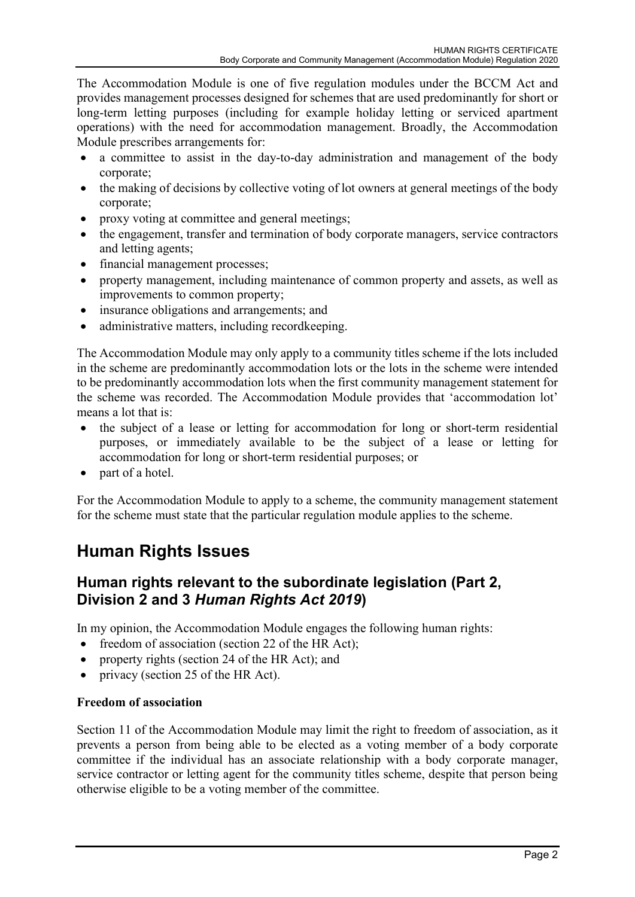The Accommodation Module is one of five regulation modules under the BCCM Act and provides management processes designed for schemes that are used predominantly for short or long-term letting purposes (including for example holiday letting or serviced apartment operations) with the need for accommodation management. Broadly, the Accommodation Module prescribes arrangements for:

- a committee to assist in the day-to-day administration and management of the body corporate;
- the making of decisions by collective voting of lot owners at general meetings of the body corporate;
- proxy voting at committee and general meetings;
- the engagement, transfer and termination of body corporate managers, service contractors and letting agents;
- financial management processes;
- property management, including maintenance of common property and assets, as well as improvements to common property;
- insurance obligations and arrangements; and
- administrative matters, including recordkeeping.

The Accommodation Module may only apply to a community titles scheme if the lots included in the scheme are predominantly accommodation lots or the lots in the scheme were intended to be predominantly accommodation lots when the first community management statement for the scheme was recorded. The Accommodation Module provides that 'accommodation lot' means a lot that is:

- the subject of a lease or letting for accommodation for long or short-term residential purposes, or immediately available to be the subject of a lease or letting for accommodation for long or short-term residential purposes; or
- part of a hotel.

For the Accommodation Module to apply to a scheme, the community management statement for the scheme must state that the particular regulation module applies to the scheme.

# Human Rights Issues

### Human rights relevant to the subordinate legislation (Part 2, Division 2 and 3 Human Rights Act 2019)

In my opinion, the Accommodation Module engages the following human rights:

- freedom of association (section 22 of the HR Act);
- property rights (section 24 of the HR Act); and
- privacy (section 25 of the HR Act).

#### Freedom of association

Section 11 of the Accommodation Module may limit the right to freedom of association, as it prevents a person from being able to be elected as a voting member of a body corporate committee if the individual has an associate relationship with a body corporate manager, service contractor or letting agent for the community titles scheme, despite that person being otherwise eligible to be a voting member of the committee.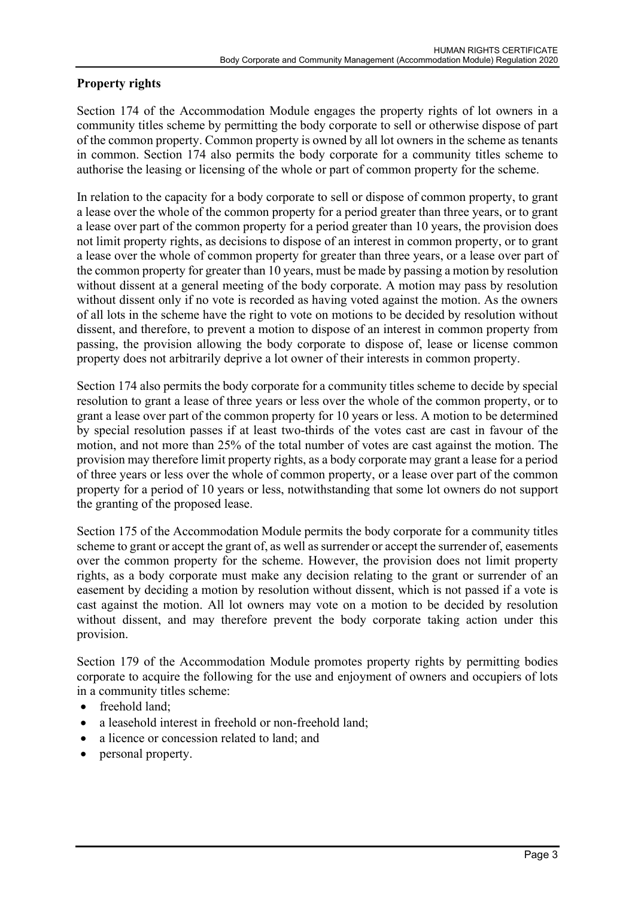#### Property rights

Section 174 of the Accommodation Module engages the property rights of lot owners in a community titles scheme by permitting the body corporate to sell or otherwise dispose of part of the common property. Common property is owned by all lot owners in the scheme as tenants in common. Section 174 also permits the body corporate for a community titles scheme to authorise the leasing or licensing of the whole or part of common property for the scheme.

In relation to the capacity for a body corporate to sell or dispose of common property, to grant a lease over the whole of the common property for a period greater than three years, or to grant a lease over part of the common property for a period greater than 10 years, the provision does not limit property rights, as decisions to dispose of an interest in common property, or to grant a lease over the whole of common property for greater than three years, or a lease over part of the common property for greater than 10 years, must be made by passing a motion by resolution without dissent at a general meeting of the body corporate. A motion may pass by resolution without dissent only if no vote is recorded as having voted against the motion. As the owners of all lots in the scheme have the right to vote on motions to be decided by resolution without dissent, and therefore, to prevent a motion to dispose of an interest in common property from passing, the provision allowing the body corporate to dispose of, lease or license common property does not arbitrarily deprive a lot owner of their interests in common property.

Section 174 also permits the body corporate for a community titles scheme to decide by special resolution to grant a lease of three years or less over the whole of the common property, or to grant a lease over part of the common property for 10 years or less. A motion to be determined by special resolution passes if at least two-thirds of the votes cast are cast in favour of the motion, and not more than 25% of the total number of votes are cast against the motion. The provision may therefore limit property rights, as a body corporate may grant a lease for a period of three years or less over the whole of common property, or a lease over part of the common property for a period of 10 years or less, notwithstanding that some lot owners do not support the granting of the proposed lease.

Section 175 of the Accommodation Module permits the body corporate for a community titles scheme to grant or accept the grant of, as well as surrender or accept the surrender of, easements over the common property for the scheme. However, the provision does not limit property rights, as a body corporate must make any decision relating to the grant or surrender of an easement by deciding a motion by resolution without dissent, which is not passed if a vote is cast against the motion. All lot owners may vote on a motion to be decided by resolution without dissent, and may therefore prevent the body corporate taking action under this provision.

Section 179 of the Accommodation Module promotes property rights by permitting bodies corporate to acquire the following for the use and enjoyment of owners and occupiers of lots in a community titles scheme:

- freehold land:
- a leasehold interest in freehold or non-freehold land;
- a licence or concession related to land; and
- personal property.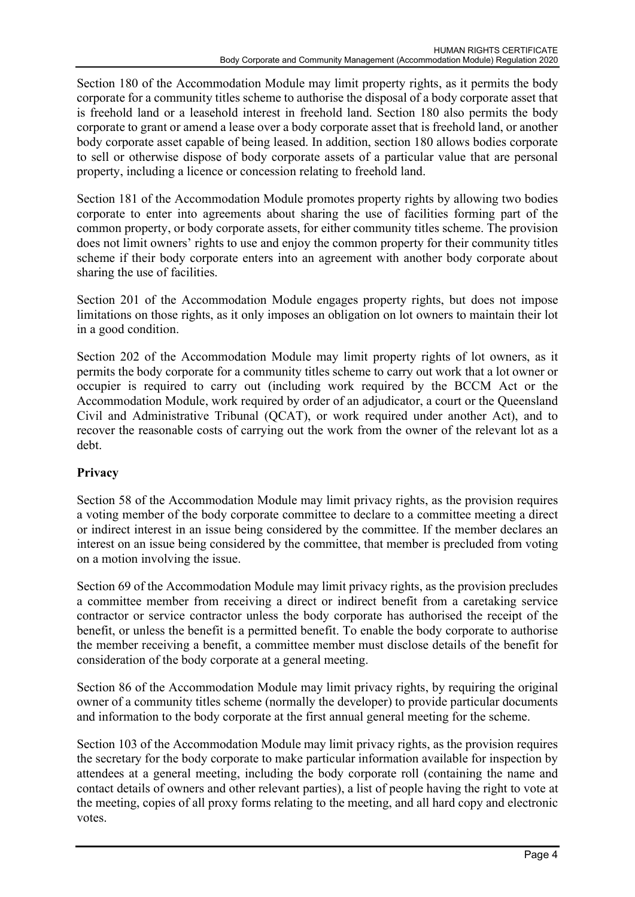Section 180 of the Accommodation Module may limit property rights, as it permits the body corporate for a community titles scheme to authorise the disposal of a body corporate asset that is freehold land or a leasehold interest in freehold land. Section 180 also permits the body corporate to grant or amend a lease over a body corporate asset that is freehold land, or another body corporate asset capable of being leased. In addition, section 180 allows bodies corporate to sell or otherwise dispose of body corporate assets of a particular value that are personal property, including a licence or concession relating to freehold land.

Section 181 of the Accommodation Module promotes property rights by allowing two bodies corporate to enter into agreements about sharing the use of facilities forming part of the common property, or body corporate assets, for either community titles scheme. The provision does not limit owners' rights to use and enjoy the common property for their community titles scheme if their body corporate enters into an agreement with another body corporate about sharing the use of facilities.

Section 201 of the Accommodation Module engages property rights, but does not impose limitations on those rights, as it only imposes an obligation on lot owners to maintain their lot in a good condition.

Section 202 of the Accommodation Module may limit property rights of lot owners, as it permits the body corporate for a community titles scheme to carry out work that a lot owner or occupier is required to carry out (including work required by the BCCM Act or the Accommodation Module, work required by order of an adjudicator, a court or the Queensland Civil and Administrative Tribunal (QCAT), or work required under another Act), and to recover the reasonable costs of carrying out the work from the owner of the relevant lot as a debt.

#### Privacy

Section 58 of the Accommodation Module may limit privacy rights, as the provision requires a voting member of the body corporate committee to declare to a committee meeting a direct or indirect interest in an issue being considered by the committee. If the member declares an interest on an issue being considered by the committee, that member is precluded from voting on a motion involving the issue.

Section 69 of the Accommodation Module may limit privacy rights, as the provision precludes a committee member from receiving a direct or indirect benefit from a caretaking service contractor or service contractor unless the body corporate has authorised the receipt of the benefit, or unless the benefit is a permitted benefit. To enable the body corporate to authorise the member receiving a benefit, a committee member must disclose details of the benefit for consideration of the body corporate at a general meeting.

Section 86 of the Accommodation Module may limit privacy rights, by requiring the original owner of a community titles scheme (normally the developer) to provide particular documents and information to the body corporate at the first annual general meeting for the scheme.

Section 103 of the Accommodation Module may limit privacy rights, as the provision requires the secretary for the body corporate to make particular information available for inspection by attendees at a general meeting, including the body corporate roll (containing the name and contact details of owners and other relevant parties), a list of people having the right to vote at the meeting, copies of all proxy forms relating to the meeting, and all hard copy and electronic votes.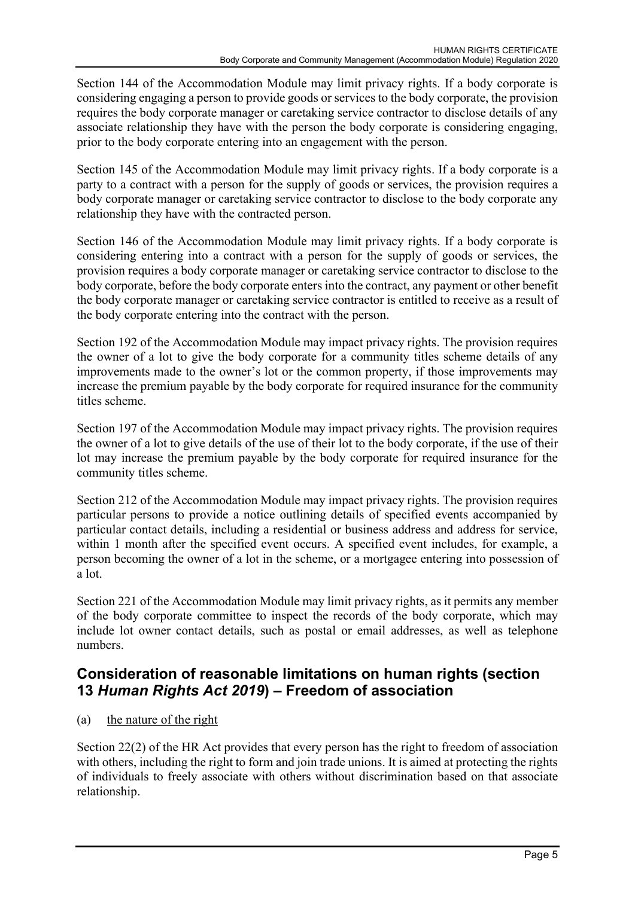Section 144 of the Accommodation Module may limit privacy rights. If a body corporate is considering engaging a person to provide goods or services to the body corporate, the provision requires the body corporate manager or caretaking service contractor to disclose details of any associate relationship they have with the person the body corporate is considering engaging, prior to the body corporate entering into an engagement with the person.

Section 145 of the Accommodation Module may limit privacy rights. If a body corporate is a party to a contract with a person for the supply of goods or services, the provision requires a body corporate manager or caretaking service contractor to disclose to the body corporate any relationship they have with the contracted person.

Section 146 of the Accommodation Module may limit privacy rights. If a body corporate is considering entering into a contract with a person for the supply of goods or services, the provision requires a body corporate manager or caretaking service contractor to disclose to the body corporate, before the body corporate enters into the contract, any payment or other benefit the body corporate manager or caretaking service contractor is entitled to receive as a result of the body corporate entering into the contract with the person.

Section 192 of the Accommodation Module may impact privacy rights. The provision requires the owner of a lot to give the body corporate for a community titles scheme details of any improvements made to the owner's lot or the common property, if those improvements may increase the premium payable by the body corporate for required insurance for the community titles scheme.

Section 197 of the Accommodation Module may impact privacy rights. The provision requires the owner of a lot to give details of the use of their lot to the body corporate, if the use of their lot may increase the premium payable by the body corporate for required insurance for the community titles scheme.

Section 212 of the Accommodation Module may impact privacy rights. The provision requires particular persons to provide a notice outlining details of specified events accompanied by particular contact details, including a residential or business address and address for service, within 1 month after the specified event occurs. A specified event includes, for example, a person becoming the owner of a lot in the scheme, or a mortgagee entering into possession of a lot.

Section 221 of the Accommodation Module may limit privacy rights, as it permits any member of the body corporate committee to inspect the records of the body corporate, which may include lot owner contact details, such as postal or email addresses, as well as telephone numbers.

## Consideration of reasonable limitations on human rights (section 13 Human Rights Act 2019) – Freedom of association

#### (a) the nature of the right

Section 22(2) of the HR Act provides that every person has the right to freedom of association with others, including the right to form and join trade unions. It is aimed at protecting the rights of individuals to freely associate with others without discrimination based on that associate relationship.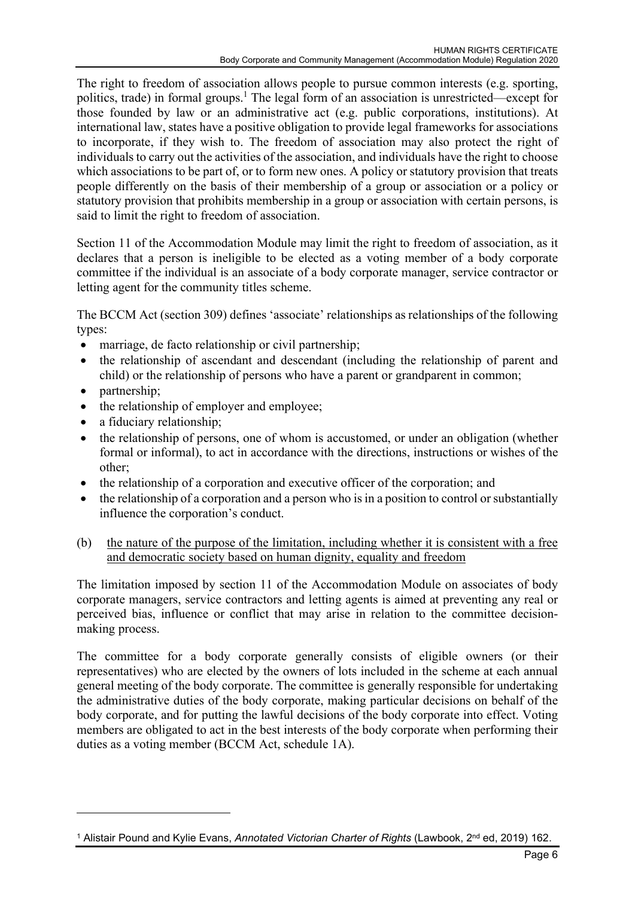The right to freedom of association allows people to pursue common interests (e.g. sporting, politics, trade) in formal groups.<sup>1</sup> The legal form of an association is unrestricted—except for those founded by law or an administrative act (e.g. public corporations, institutions). At international law, states have a positive obligation to provide legal frameworks for associations to incorporate, if they wish to. The freedom of association may also protect the right of individuals to carry out the activities of the association, and individuals have the right to choose which associations to be part of, or to form new ones. A policy or statutory provision that treats people differently on the basis of their membership of a group or association or a policy or statutory provision that prohibits membership in a group or association with certain persons, is said to limit the right to freedom of association.

Section 11 of the Accommodation Module may limit the right to freedom of association, as it declares that a person is ineligible to be elected as a voting member of a body corporate committee if the individual is an associate of a body corporate manager, service contractor or letting agent for the community titles scheme.

The BCCM Act (section 309) defines 'associate' relationships as relationships of the following types:

- marriage, de facto relationship or civil partnership;
- the relationship of ascendant and descendant (including the relationship of parent and child) or the relationship of persons who have a parent or grandparent in common;
- partnership:
- the relationship of employer and employee;
- a fiduciary relationship;
- the relationship of persons, one of whom is accustomed, or under an obligation (whether formal or informal), to act in accordance with the directions, instructions or wishes of the other;
- the relationship of a corporation and executive officer of the corporation; and
- the relationship of a corporation and a person who is in a position to control or substantially influence the corporation's conduct.

#### (b) the nature of the purpose of the limitation, including whether it is consistent with a free and democratic society based on human dignity, equality and freedom

The limitation imposed by section 11 of the Accommodation Module on associates of body corporate managers, service contractors and letting agents is aimed at preventing any real or perceived bias, influence or conflict that may arise in relation to the committee decisionmaking process.

The committee for a body corporate generally consists of eligible owners (or their representatives) who are elected by the owners of lots included in the scheme at each annual general meeting of the body corporate. The committee is generally responsible for undertaking the administrative duties of the body corporate, making particular decisions on behalf of the body corporate, and for putting the lawful decisions of the body corporate into effect. Voting members are obligated to act in the best interests of the body corporate when performing their duties as a voting member (BCCM Act, schedule 1A).

<sup>&</sup>lt;sup>1</sup> Alistair Pound and Kylie Evans, Annotated Victorian Charter of Rights (Lawbook, 2<sup>nd</sup> ed, 2019) 162.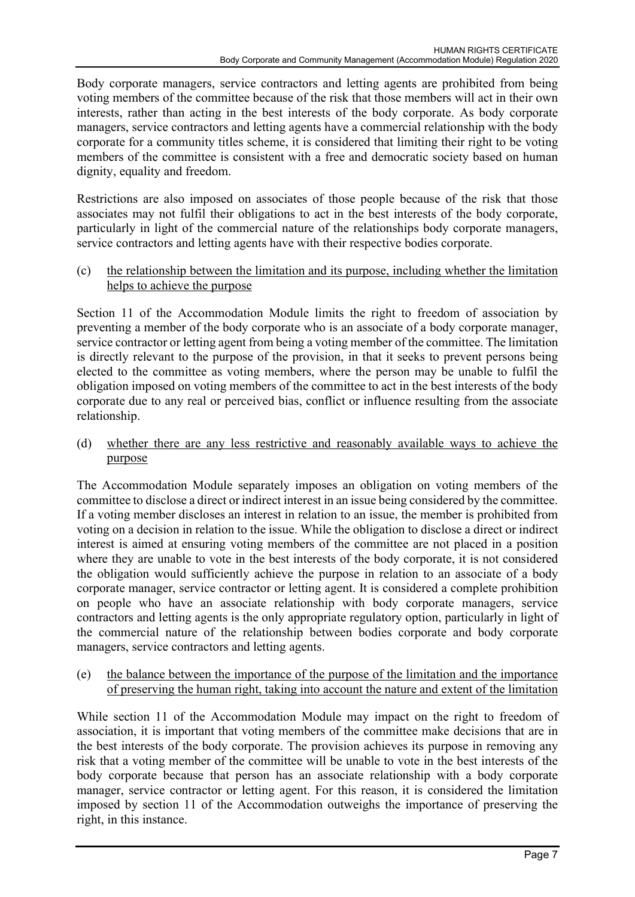Body corporate managers, service contractors and letting agents are prohibited from being voting members of the committee because of the risk that those members will act in their own interests, rather than acting in the best interests of the body corporate. As body corporate managers, service contractors and letting agents have a commercial relationship with the body corporate for a community titles scheme, it is considered that limiting their right to be voting members of the committee is consistent with a free and democratic society based on human dignity, equality and freedom.

Restrictions are also imposed on associates of those people because of the risk that those associates may not fulfil their obligations to act in the best interests of the body corporate, particularly in light of the commercial nature of the relationships body corporate managers, service contractors and letting agents have with their respective bodies corporate.

(c) the relationship between the limitation and its purpose, including whether the limitation helps to achieve the purpose

Section 11 of the Accommodation Module limits the right to freedom of association by preventing a member of the body corporate who is an associate of a body corporate manager, service contractor or letting agent from being a voting member of the committee. The limitation is directly relevant to the purpose of the provision, in that it seeks to prevent persons being elected to the committee as voting members, where the person may be unable to fulfil the obligation imposed on voting members of the committee to act in the best interests of the body corporate due to any real or perceived bias, conflict or influence resulting from the associate relationship.

(d) whether there are any less restrictive and reasonably available ways to achieve the purpose

The Accommodation Module separately imposes an obligation on voting members of the committee to disclose a direct or indirect interest in an issue being considered by the committee. If a voting member discloses an interest in relation to an issue, the member is prohibited from voting on a decision in relation to the issue. While the obligation to disclose a direct or indirect interest is aimed at ensuring voting members of the committee are not placed in a position where they are unable to vote in the best interests of the body corporate, it is not considered the obligation would sufficiently achieve the purpose in relation to an associate of a body corporate manager, service contractor or letting agent. It is considered a complete prohibition on people who have an associate relationship with body corporate managers, service contractors and letting agents is the only appropriate regulatory option, particularly in light of the commercial nature of the relationship between bodies corporate and body corporate managers, service contractors and letting agents.

(e) the balance between the importance of the purpose of the limitation and the importance of preserving the human right, taking into account the nature and extent of the limitation

While section 11 of the Accommodation Module may impact on the right to freedom of association, it is important that voting members of the committee make decisions that are in the best interests of the body corporate. The provision achieves its purpose in removing any risk that a voting member of the committee will be unable to vote in the best interests of the body corporate because that person has an associate relationship with a body corporate manager, service contractor or letting agent. For this reason, it is considered the limitation imposed by section 11 of the Accommodation outweighs the importance of preserving the right, in this instance.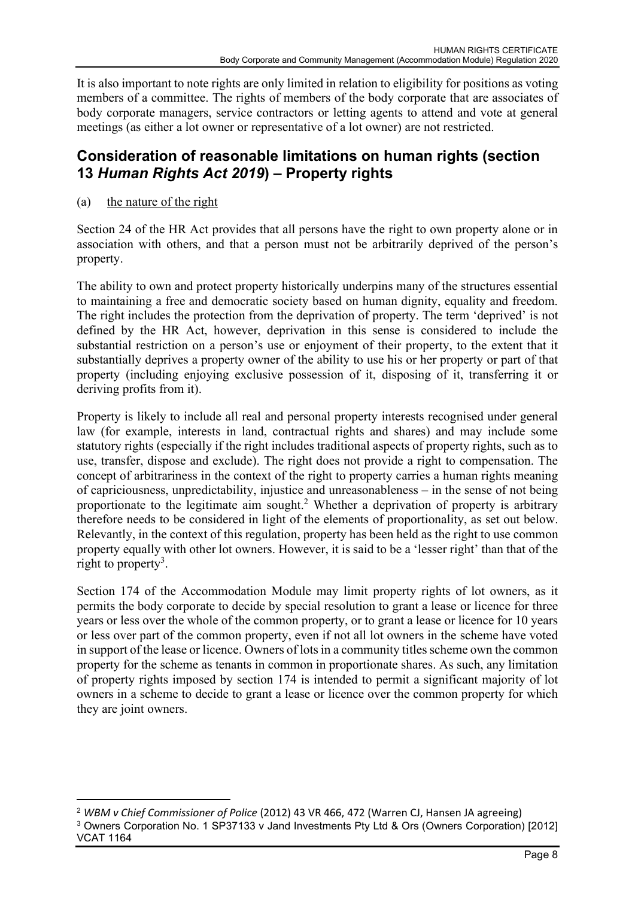It is also important to note rights are only limited in relation to eligibility for positions as voting members of a committee. The rights of members of the body corporate that are associates of body corporate managers, service contractors or letting agents to attend and vote at general meetings (as either a lot owner or representative of a lot owner) are not restricted.

## Consideration of reasonable limitations on human rights (section 13 Human Rights Act 2019) – Property rights

(a) the nature of the right

Section 24 of the HR Act provides that all persons have the right to own property alone or in association with others, and that a person must not be arbitrarily deprived of the person's property.

The ability to own and protect property historically underpins many of the structures essential to maintaining a free and democratic society based on human dignity, equality and freedom. The right includes the protection from the deprivation of property. The term 'deprived' is not defined by the HR Act, however, deprivation in this sense is considered to include the substantial restriction on a person's use or enjoyment of their property, to the extent that it substantially deprives a property owner of the ability to use his or her property or part of that property (including enjoying exclusive possession of it, disposing of it, transferring it or deriving profits from it).

Property is likely to include all real and personal property interests recognised under general law (for example, interests in land, contractual rights and shares) and may include some statutory rights (especially if the right includes traditional aspects of property rights, such as to use, transfer, dispose and exclude). The right does not provide a right to compensation. The concept of arbitrariness in the context of the right to property carries a human rights meaning of capriciousness, unpredictability, injustice and unreasonableness – in the sense of not being proportionate to the legitimate aim sought.<sup>2</sup> Whether a deprivation of property is arbitrary therefore needs to be considered in light of the elements of proportionality, as set out below. Relevantly, in the context of this regulation, property has been held as the right to use common property equally with other lot owners. However, it is said to be a 'lesser right' than that of the right to property<sup>3</sup>.

Section 174 of the Accommodation Module may limit property rights of lot owners, as it permits the body corporate to decide by special resolution to grant a lease or licence for three years or less over the whole of the common property, or to grant a lease or licence for 10 years or less over part of the common property, even if not all lot owners in the scheme have voted in support of the lease or licence. Owners of lots in a community titles scheme own the common property for the scheme as tenants in common in proportionate shares. As such, any limitation of property rights imposed by section 174 is intended to permit a significant majority of lot owners in a scheme to decide to grant a lease or licence over the common property for which they are joint owners.

<sup>2</sup> WBM v Chief Commissioner of Police (2012) 43 VR 466, 472 (Warren CJ, Hansen JA agreeing) <sup>3</sup> Owners Corporation No. 1 SP37133 v Jand Investments Pty Ltd & Ors (Owners Corporation) [2012] VCAT 1164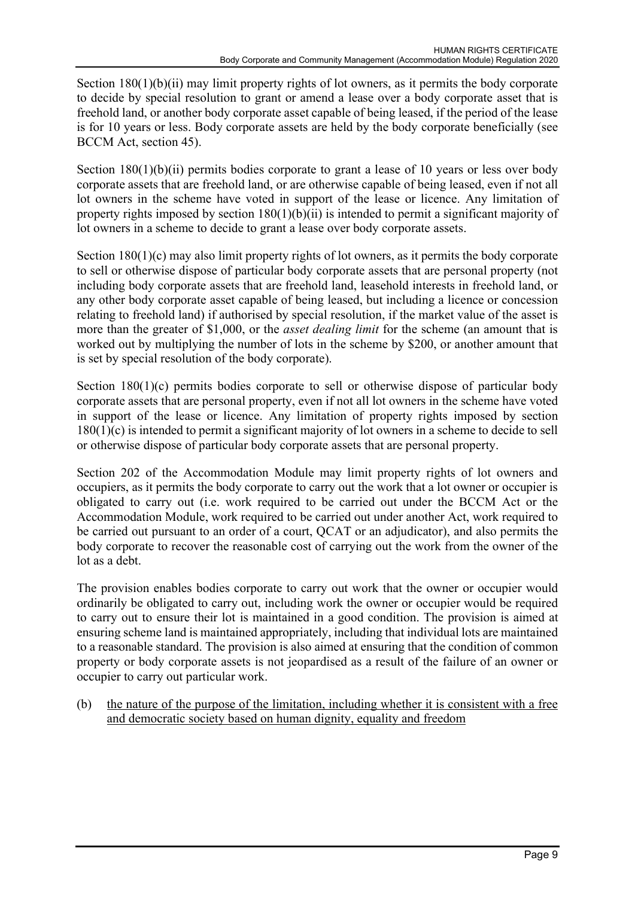Section 180(1)(b)(ii) may limit property rights of lot owners, as it permits the body corporate to decide by special resolution to grant or amend a lease over a body corporate asset that is freehold land, or another body corporate asset capable of being leased, if the period of the lease is for 10 years or less. Body corporate assets are held by the body corporate beneficially (see BCCM Act, section 45).

Section 180(1)(b)(ii) permits bodies corporate to grant a lease of 10 years or less over body corporate assets that are freehold land, or are otherwise capable of being leased, even if not all lot owners in the scheme have voted in support of the lease or licence. Any limitation of property rights imposed by section  $180(1)(b)(ii)$  is intended to permit a significant majority of lot owners in a scheme to decide to grant a lease over body corporate assets.

Section 180(1)(c) may also limit property rights of lot owners, as it permits the body corporate to sell or otherwise dispose of particular body corporate assets that are personal property (not including body corporate assets that are freehold land, leasehold interests in freehold land, or any other body corporate asset capable of being leased, but including a licence or concession relating to freehold land) if authorised by special resolution, if the market value of the asset is more than the greater of \$1,000, or the *asset dealing limit* for the scheme (an amount that is worked out by multiplying the number of lots in the scheme by \$200, or another amount that is set by special resolution of the body corporate).

Section 180(1)(c) permits bodies corporate to sell or otherwise dispose of particular body corporate assets that are personal property, even if not all lot owners in the scheme have voted in support of the lease or licence. Any limitation of property rights imposed by section 180(1)(c) is intended to permit a significant majority of lot owners in a scheme to decide to sell or otherwise dispose of particular body corporate assets that are personal property.

Section 202 of the Accommodation Module may limit property rights of lot owners and occupiers, as it permits the body corporate to carry out the work that a lot owner or occupier is obligated to carry out (i.e. work required to be carried out under the BCCM Act or the Accommodation Module, work required to be carried out under another Act, work required to be carried out pursuant to an order of a court, QCAT or an adjudicator), and also permits the body corporate to recover the reasonable cost of carrying out the work from the owner of the lot as a debt.

The provision enables bodies corporate to carry out work that the owner or occupier would ordinarily be obligated to carry out, including work the owner or occupier would be required to carry out to ensure their lot is maintained in a good condition. The provision is aimed at ensuring scheme land is maintained appropriately, including that individual lots are maintained to a reasonable standard. The provision is also aimed at ensuring that the condition of common property or body corporate assets is not jeopardised as a result of the failure of an owner or occupier to carry out particular work.

(b) the nature of the purpose of the limitation, including whether it is consistent with a free and democratic society based on human dignity, equality and freedom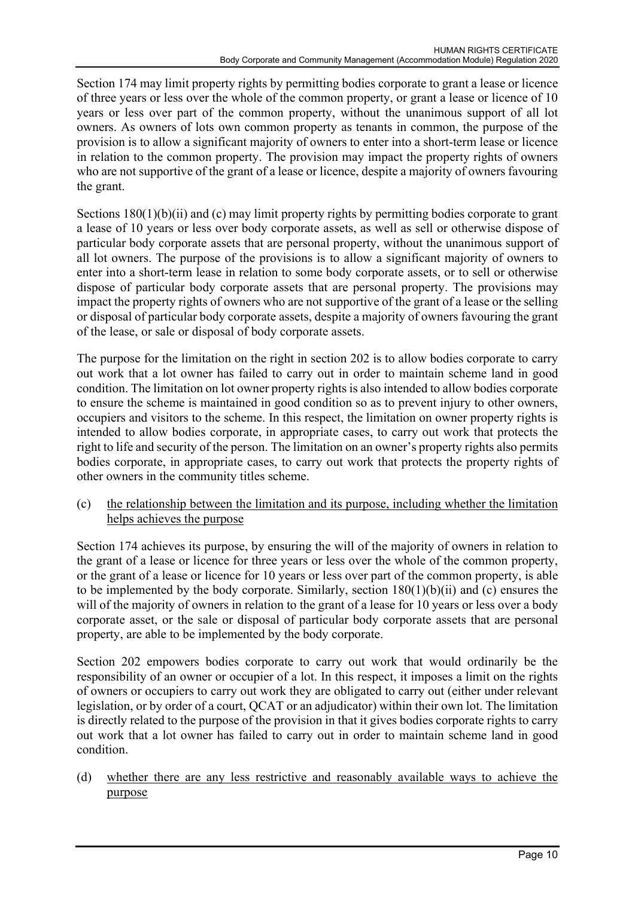Section 174 may limit property rights by permitting bodies corporate to grant a lease or licence of three years or less over the whole of the common property, or grant a lease or licence of 10 years or less over part of the common property, without the unanimous support of all lot owners. As owners of lots own common property as tenants in common, the purpose of the provision is to allow a significant majority of owners to enter into a short-term lease or licence in relation to the common property. The provision may impact the property rights of owners who are not supportive of the grant of a lease or licence, despite a majority of owners favouring the grant.

Sections 180(1)(b)(ii) and (c) may limit property rights by permitting bodies corporate to grant a lease of 10 years or less over body corporate assets, as well as sell or otherwise dispose of particular body corporate assets that are personal property, without the unanimous support of all lot owners. The purpose of the provisions is to allow a significant majority of owners to enter into a short-term lease in relation to some body corporate assets, or to sell or otherwise dispose of particular body corporate assets that are personal property. The provisions may impact the property rights of owners who are not supportive of the grant of a lease or the selling or disposal of particular body corporate assets, despite a majority of owners favouring the grant of the lease, or sale or disposal of body corporate assets.

The purpose for the limitation on the right in section 202 is to allow bodies corporate to carry out work that a lot owner has failed to carry out in order to maintain scheme land in good condition. The limitation on lot owner property rights is also intended to allow bodies corporate to ensure the scheme is maintained in good condition so as to prevent injury to other owners, occupiers and visitors to the scheme. In this respect, the limitation on owner property rights is intended to allow bodies corporate, in appropriate cases, to carry out work that protects the right to life and security of the person. The limitation on an owner's property rights also permits bodies corporate, in appropriate cases, to carry out work that protects the property rights of other owners in the community titles scheme.

(c) the relationship between the limitation and its purpose, including whether the limitation helps achieves the purpose

Section 174 achieves its purpose, by ensuring the will of the majority of owners in relation to the grant of a lease or licence for three years or less over the whole of the common property, or the grant of a lease or licence for 10 years or less over part of the common property, is able to be implemented by the body corporate. Similarly, section 180(1)(b)(ii) and (c) ensures the will of the majority of owners in relation to the grant of a lease for 10 years or less over a body corporate asset, or the sale or disposal of particular body corporate assets that are personal property, are able to be implemented by the body corporate.

Section 202 empowers bodies corporate to carry out work that would ordinarily be the responsibility of an owner or occupier of a lot. In this respect, it imposes a limit on the rights of owners or occupiers to carry out work they are obligated to carry out (either under relevant legislation, or by order of a court, QCAT or an adjudicator) within their own lot. The limitation is directly related to the purpose of the provision in that it gives bodies corporate rights to carry out work that a lot owner has failed to carry out in order to maintain scheme land in good condition.

(d) whether there are any less restrictive and reasonably available ways to achieve the purpose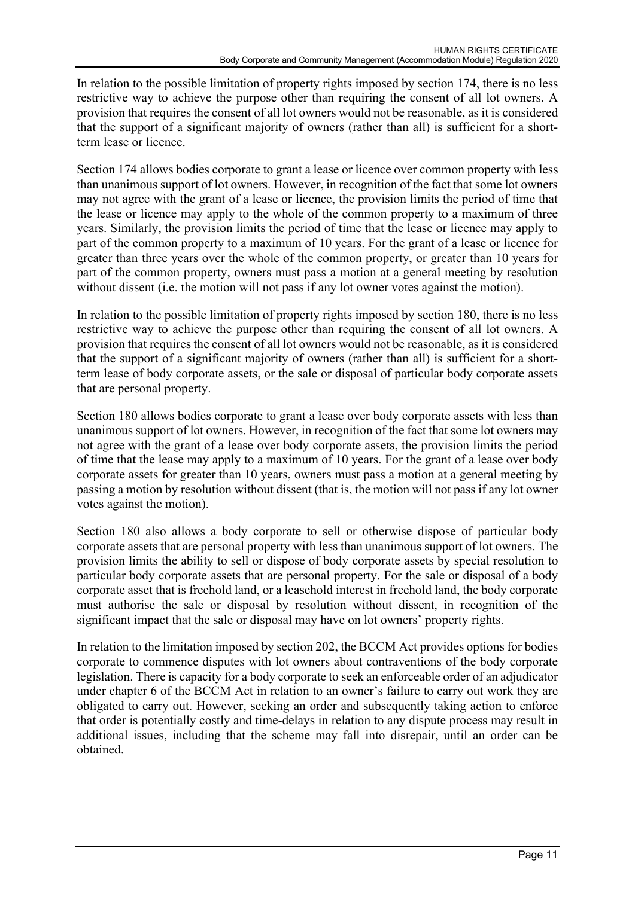In relation to the possible limitation of property rights imposed by section 174, there is no less restrictive way to achieve the purpose other than requiring the consent of all lot owners. A provision that requires the consent of all lot owners would not be reasonable, as it is considered that the support of a significant majority of owners (rather than all) is sufficient for a shortterm lease or licence.

Section 174 allows bodies corporate to grant a lease or licence over common property with less than unanimous support of lot owners. However, in recognition of the fact that some lot owners may not agree with the grant of a lease or licence, the provision limits the period of time that the lease or licence may apply to the whole of the common property to a maximum of three years. Similarly, the provision limits the period of time that the lease or licence may apply to part of the common property to a maximum of 10 years. For the grant of a lease or licence for greater than three years over the whole of the common property, or greater than 10 years for part of the common property, owners must pass a motion at a general meeting by resolution without dissent *(i.e. the motion will not pass if any lot owner votes against the motion)*.

In relation to the possible limitation of property rights imposed by section 180, there is no less restrictive way to achieve the purpose other than requiring the consent of all lot owners. A provision that requires the consent of all lot owners would not be reasonable, as it is considered that the support of a significant majority of owners (rather than all) is sufficient for a shortterm lease of body corporate assets, or the sale or disposal of particular body corporate assets that are personal property.

Section 180 allows bodies corporate to grant a lease over body corporate assets with less than unanimous support of lot owners. However, in recognition of the fact that some lot owners may not agree with the grant of a lease over body corporate assets, the provision limits the period of time that the lease may apply to a maximum of 10 years. For the grant of a lease over body corporate assets for greater than 10 years, owners must pass a motion at a general meeting by passing a motion by resolution without dissent (that is, the motion will not pass if any lot owner votes against the motion).

Section 180 also allows a body corporate to sell or otherwise dispose of particular body corporate assets that are personal property with less than unanimous support of lot owners. The provision limits the ability to sell or dispose of body corporate assets by special resolution to particular body corporate assets that are personal property. For the sale or disposal of a body corporate asset that is freehold land, or a leasehold interest in freehold land, the body corporate must authorise the sale or disposal by resolution without dissent, in recognition of the significant impact that the sale or disposal may have on lot owners' property rights.

In relation to the limitation imposed by section 202, the BCCM Act provides options for bodies corporate to commence disputes with lot owners about contraventions of the body corporate legislation. There is capacity for a body corporate to seek an enforceable order of an adjudicator under chapter 6 of the BCCM Act in relation to an owner's failure to carry out work they are obligated to carry out. However, seeking an order and subsequently taking action to enforce that order is potentially costly and time-delays in relation to any dispute process may result in additional issues, including that the scheme may fall into disrepair, until an order can be obtained.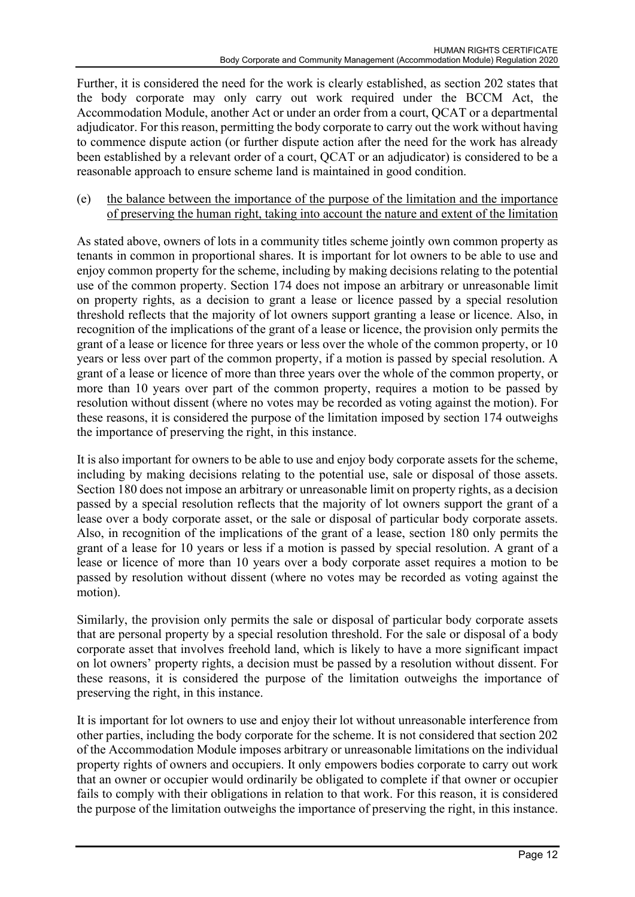Further, it is considered the need for the work is clearly established, as section 202 states that the body corporate may only carry out work required under the BCCM Act, the Accommodation Module, another Act or under an order from a court, QCAT or a departmental adjudicator. For this reason, permitting the body corporate to carry out the work without having to commence dispute action (or further dispute action after the need for the work has already been established by a relevant order of a court, QCAT or an adjudicator) is considered to be a reasonable approach to ensure scheme land is maintained in good condition.

(e) the balance between the importance of the purpose of the limitation and the importance of preserving the human right, taking into account the nature and extent of the limitation

As stated above, owners of lots in a community titles scheme jointly own common property as tenants in common in proportional shares. It is important for lot owners to be able to use and enjoy common property for the scheme, including by making decisions relating to the potential use of the common property. Section 174 does not impose an arbitrary or unreasonable limit on property rights, as a decision to grant a lease or licence passed by a special resolution threshold reflects that the majority of lot owners support granting a lease or licence. Also, in recognition of the implications of the grant of a lease or licence, the provision only permits the grant of a lease or licence for three years or less over the whole of the common property, or 10 years or less over part of the common property, if a motion is passed by special resolution. A grant of a lease or licence of more than three years over the whole of the common property, or more than 10 years over part of the common property, requires a motion to be passed by resolution without dissent (where no votes may be recorded as voting against the motion). For these reasons, it is considered the purpose of the limitation imposed by section 174 outweighs the importance of preserving the right, in this instance.

It is also important for owners to be able to use and enjoy body corporate assets for the scheme, including by making decisions relating to the potential use, sale or disposal of those assets. Section 180 does not impose an arbitrary or unreasonable limit on property rights, as a decision passed by a special resolution reflects that the majority of lot owners support the grant of a lease over a body corporate asset, or the sale or disposal of particular body corporate assets. Also, in recognition of the implications of the grant of a lease, section 180 only permits the grant of a lease for 10 years or less if a motion is passed by special resolution. A grant of a lease or licence of more than 10 years over a body corporate asset requires a motion to be passed by resolution without dissent (where no votes may be recorded as voting against the motion).

Similarly, the provision only permits the sale or disposal of particular body corporate assets that are personal property by a special resolution threshold. For the sale or disposal of a body corporate asset that involves freehold land, which is likely to have a more significant impact on lot owners' property rights, a decision must be passed by a resolution without dissent. For these reasons, it is considered the purpose of the limitation outweighs the importance of preserving the right, in this instance.

It is important for lot owners to use and enjoy their lot without unreasonable interference from other parties, including the body corporate for the scheme. It is not considered that section 202 of the Accommodation Module imposes arbitrary or unreasonable limitations on the individual property rights of owners and occupiers. It only empowers bodies corporate to carry out work that an owner or occupier would ordinarily be obligated to complete if that owner or occupier fails to comply with their obligations in relation to that work. For this reason, it is considered the purpose of the limitation outweighs the importance of preserving the right, in this instance.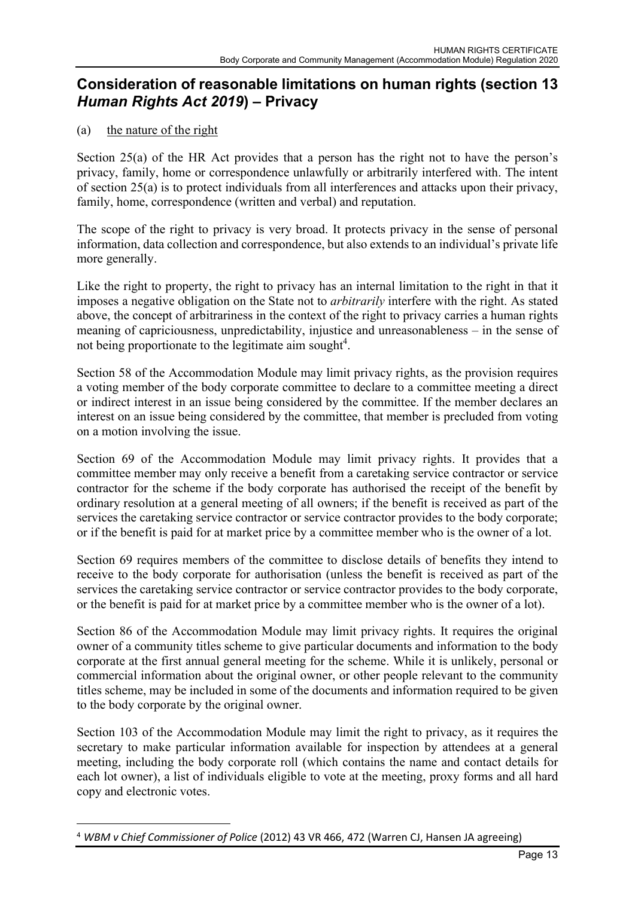## Consideration of reasonable limitations on human rights (section 13 Human Rights Act 2019) – Privacy

#### (a) the nature of the right

Section 25(a) of the HR Act provides that a person has the right not to have the person's privacy, family, home or correspondence unlawfully or arbitrarily interfered with. The intent of section 25(a) is to protect individuals from all interferences and attacks upon their privacy, family, home, correspondence (written and verbal) and reputation.

The scope of the right to privacy is very broad. It protects privacy in the sense of personal information, data collection and correspondence, but also extends to an individual's private life more generally.

Like the right to property, the right to privacy has an internal limitation to the right in that it imposes a negative obligation on the State not to arbitrarily interfere with the right. As stated above, the concept of arbitrariness in the context of the right to privacy carries a human rights meaning of capriciousness, unpredictability, injustice and unreasonableness – in the sense of not being proportionate to the legitimate aim sought<sup>4</sup>.

Section 58 of the Accommodation Module may limit privacy rights, as the provision requires a voting member of the body corporate committee to declare to a committee meeting a direct or indirect interest in an issue being considered by the committee. If the member declares an interest on an issue being considered by the committee, that member is precluded from voting on a motion involving the issue.

Section 69 of the Accommodation Module may limit privacy rights. It provides that a committee member may only receive a benefit from a caretaking service contractor or service contractor for the scheme if the body corporate has authorised the receipt of the benefit by ordinary resolution at a general meeting of all owners; if the benefit is received as part of the services the caretaking service contractor or service contractor provides to the body corporate; or if the benefit is paid for at market price by a committee member who is the owner of a lot.

Section 69 requires members of the committee to disclose details of benefits they intend to receive to the body corporate for authorisation (unless the benefit is received as part of the services the caretaking service contractor or service contractor provides to the body corporate, or the benefit is paid for at market price by a committee member who is the owner of a lot).

Section 86 of the Accommodation Module may limit privacy rights. It requires the original owner of a community titles scheme to give particular documents and information to the body corporate at the first annual general meeting for the scheme. While it is unlikely, personal or commercial information about the original owner, or other people relevant to the community titles scheme, may be included in some of the documents and information required to be given to the body corporate by the original owner.

Section 103 of the Accommodation Module may limit the right to privacy, as it requires the secretary to make particular information available for inspection by attendees at a general meeting, including the body corporate roll (which contains the name and contact details for each lot owner), a list of individuals eligible to vote at the meeting, proxy forms and all hard copy and electronic votes.

<sup>&</sup>lt;sup>4</sup> WBM v Chief Commissioner of Police (2012) 43 VR 466, 472 (Warren CJ, Hansen JA agreeing)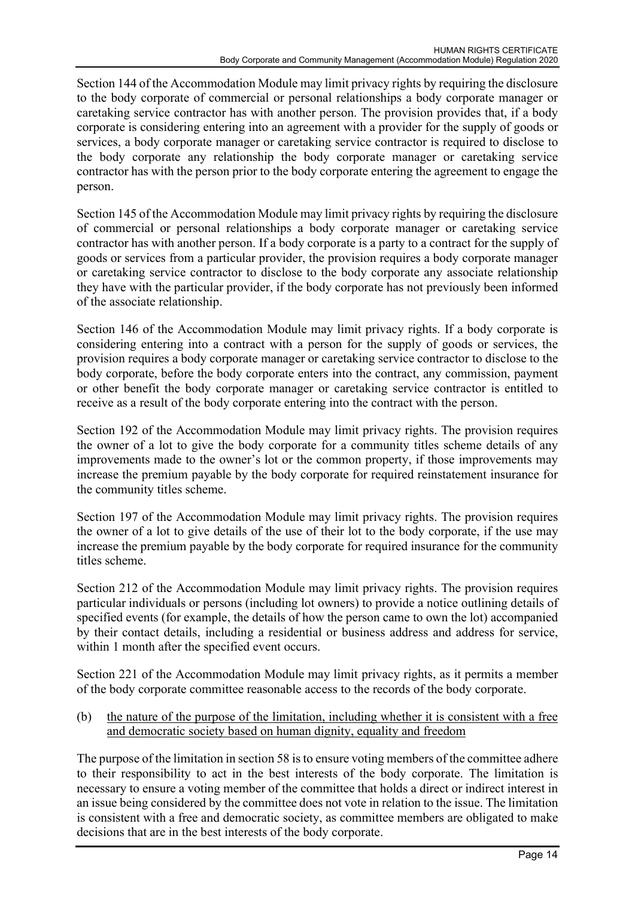Section 144 of the Accommodation Module may limit privacy rights by requiring the disclosure to the body corporate of commercial or personal relationships a body corporate manager or caretaking service contractor has with another person. The provision provides that, if a body corporate is considering entering into an agreement with a provider for the supply of goods or services, a body corporate manager or caretaking service contractor is required to disclose to the body corporate any relationship the body corporate manager or caretaking service contractor has with the person prior to the body corporate entering the agreement to engage the person.

Section 145 of the Accommodation Module may limit privacy rights by requiring the disclosure of commercial or personal relationships a body corporate manager or caretaking service contractor has with another person. If a body corporate is a party to a contract for the supply of goods or services from a particular provider, the provision requires a body corporate manager or caretaking service contractor to disclose to the body corporate any associate relationship they have with the particular provider, if the body corporate has not previously been informed of the associate relationship.

Section 146 of the Accommodation Module may limit privacy rights. If a body corporate is considering entering into a contract with a person for the supply of goods or services, the provision requires a body corporate manager or caretaking service contractor to disclose to the body corporate, before the body corporate enters into the contract, any commission, payment or other benefit the body corporate manager or caretaking service contractor is entitled to receive as a result of the body corporate entering into the contract with the person.

Section 192 of the Accommodation Module may limit privacy rights. The provision requires the owner of a lot to give the body corporate for a community titles scheme details of any improvements made to the owner's lot or the common property, if those improvements may increase the premium payable by the body corporate for required reinstatement insurance for the community titles scheme.

Section 197 of the Accommodation Module may limit privacy rights. The provision requires the owner of a lot to give details of the use of their lot to the body corporate, if the use may increase the premium payable by the body corporate for required insurance for the community titles scheme.

Section 212 of the Accommodation Module may limit privacy rights. The provision requires particular individuals or persons (including lot owners) to provide a notice outlining details of specified events (for example, the details of how the person came to own the lot) accompanied by their contact details, including a residential or business address and address for service, within 1 month after the specified event occurs.

Section 221 of the Accommodation Module may limit privacy rights, as it permits a member of the body corporate committee reasonable access to the records of the body corporate.

(b) the nature of the purpose of the limitation, including whether it is consistent with a free and democratic society based on human dignity, equality and freedom

The purpose of the limitation in section 58 is to ensure voting members of the committee adhere to their responsibility to act in the best interests of the body corporate. The limitation is necessary to ensure a voting member of the committee that holds a direct or indirect interest in an issue being considered by the committee does not vote in relation to the issue. The limitation is consistent with a free and democratic society, as committee members are obligated to make decisions that are in the best interests of the body corporate.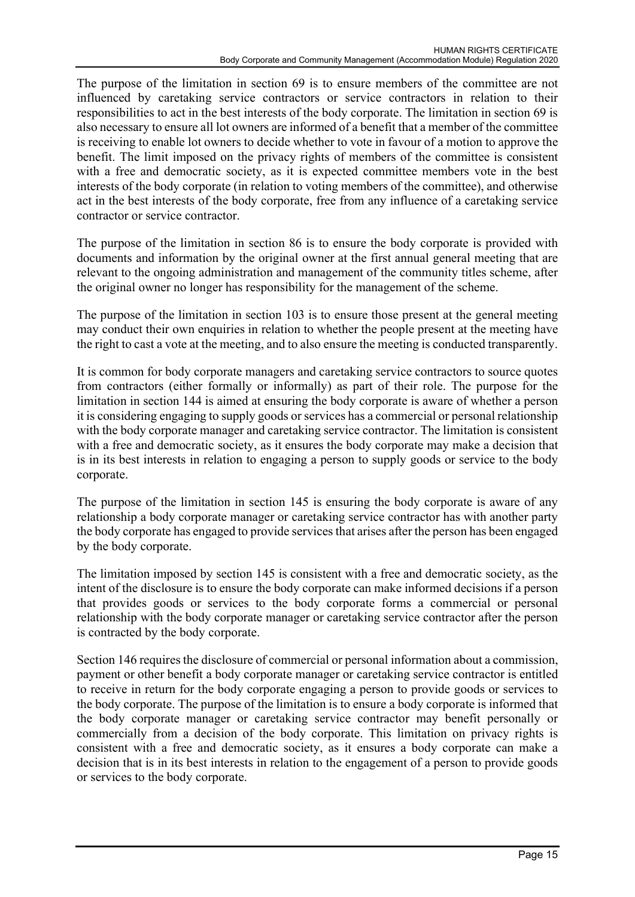The purpose of the limitation in section 69 is to ensure members of the committee are not influenced by caretaking service contractors or service contractors in relation to their responsibilities to act in the best interests of the body corporate. The limitation in section 69 is also necessary to ensure all lot owners are informed of a benefit that a member of the committee is receiving to enable lot owners to decide whether to vote in favour of a motion to approve the benefit. The limit imposed on the privacy rights of members of the committee is consistent with a free and democratic society, as it is expected committee members vote in the best interests of the body corporate (in relation to voting members of the committee), and otherwise act in the best interests of the body corporate, free from any influence of a caretaking service contractor or service contractor.

The purpose of the limitation in section 86 is to ensure the body corporate is provided with documents and information by the original owner at the first annual general meeting that are relevant to the ongoing administration and management of the community titles scheme, after the original owner no longer has responsibility for the management of the scheme.

The purpose of the limitation in section 103 is to ensure those present at the general meeting may conduct their own enquiries in relation to whether the people present at the meeting have the right to cast a vote at the meeting, and to also ensure the meeting is conducted transparently.

It is common for body corporate managers and caretaking service contractors to source quotes from contractors (either formally or informally) as part of their role. The purpose for the limitation in section 144 is aimed at ensuring the body corporate is aware of whether a person it is considering engaging to supply goods or services has a commercial or personal relationship with the body corporate manager and caretaking service contractor. The limitation is consistent with a free and democratic society, as it ensures the body corporate may make a decision that is in its best interests in relation to engaging a person to supply goods or service to the body corporate.

The purpose of the limitation in section 145 is ensuring the body corporate is aware of any relationship a body corporate manager or caretaking service contractor has with another party the body corporate has engaged to provide services that arises after the person has been engaged by the body corporate.

The limitation imposed by section 145 is consistent with a free and democratic society, as the intent of the disclosure is to ensure the body corporate can make informed decisions if a person that provides goods or services to the body corporate forms a commercial or personal relationship with the body corporate manager or caretaking service contractor after the person is contracted by the body corporate.

Section 146 requires the disclosure of commercial or personal information about a commission, payment or other benefit a body corporate manager or caretaking service contractor is entitled to receive in return for the body corporate engaging a person to provide goods or services to the body corporate. The purpose of the limitation is to ensure a body corporate is informed that the body corporate manager or caretaking service contractor may benefit personally or commercially from a decision of the body corporate. This limitation on privacy rights is consistent with a free and democratic society, as it ensures a body corporate can make a decision that is in its best interests in relation to the engagement of a person to provide goods or services to the body corporate.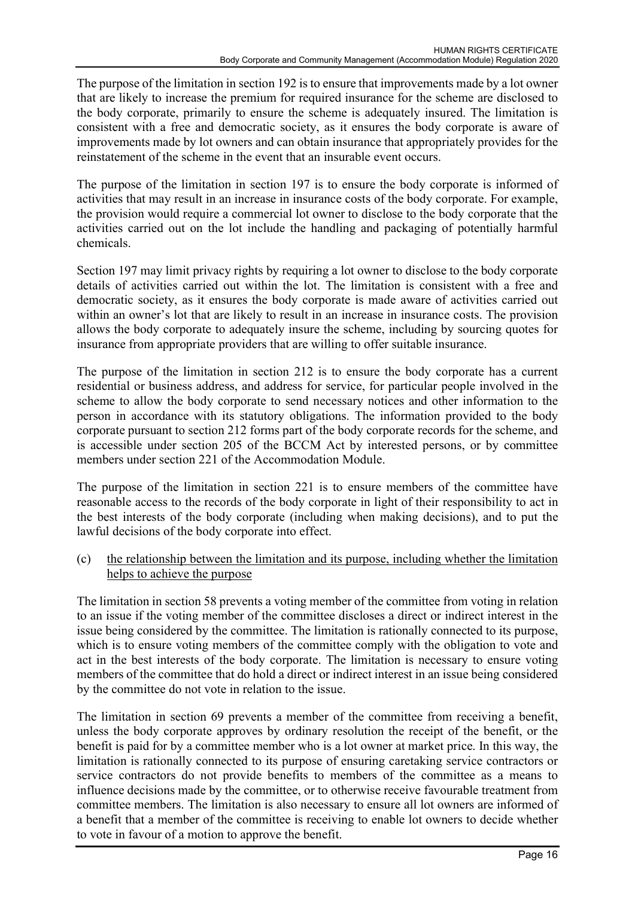The purpose of the limitation in section 192 is to ensure that improvements made by a lot owner that are likely to increase the premium for required insurance for the scheme are disclosed to the body corporate, primarily to ensure the scheme is adequately insured. The limitation is consistent with a free and democratic society, as it ensures the body corporate is aware of improvements made by lot owners and can obtain insurance that appropriately provides for the reinstatement of the scheme in the event that an insurable event occurs.

The purpose of the limitation in section 197 is to ensure the body corporate is informed of activities that may result in an increase in insurance costs of the body corporate. For example, the provision would require a commercial lot owner to disclose to the body corporate that the activities carried out on the lot include the handling and packaging of potentially harmful chemicals.

Section 197 may limit privacy rights by requiring a lot owner to disclose to the body corporate details of activities carried out within the lot. The limitation is consistent with a free and democratic society, as it ensures the body corporate is made aware of activities carried out within an owner's lot that are likely to result in an increase in insurance costs. The provision allows the body corporate to adequately insure the scheme, including by sourcing quotes for insurance from appropriate providers that are willing to offer suitable insurance.

The purpose of the limitation in section 212 is to ensure the body corporate has a current residential or business address, and address for service, for particular people involved in the scheme to allow the body corporate to send necessary notices and other information to the person in accordance with its statutory obligations. The information provided to the body corporate pursuant to section 212 forms part of the body corporate records for the scheme, and is accessible under section 205 of the BCCM Act by interested persons, or by committee members under section 221 of the Accommodation Module.

The purpose of the limitation in section 221 is to ensure members of the committee have reasonable access to the records of the body corporate in light of their responsibility to act in the best interests of the body corporate (including when making decisions), and to put the lawful decisions of the body corporate into effect.

(c) the relationship between the limitation and its purpose, including whether the limitation helps to achieve the purpose

The limitation in section 58 prevents a voting member of the committee from voting in relation to an issue if the voting member of the committee discloses a direct or indirect interest in the issue being considered by the committee. The limitation is rationally connected to its purpose, which is to ensure voting members of the committee comply with the obligation to vote and act in the best interests of the body corporate. The limitation is necessary to ensure voting members of the committee that do hold a direct or indirect interest in an issue being considered by the committee do not vote in relation to the issue.

The limitation in section 69 prevents a member of the committee from receiving a benefit, unless the body corporate approves by ordinary resolution the receipt of the benefit, or the benefit is paid for by a committee member who is a lot owner at market price. In this way, the limitation is rationally connected to its purpose of ensuring caretaking service contractors or service contractors do not provide benefits to members of the committee as a means to influence decisions made by the committee, or to otherwise receive favourable treatment from committee members. The limitation is also necessary to ensure all lot owners are informed of a benefit that a member of the committee is receiving to enable lot owners to decide whether to vote in favour of a motion to approve the benefit.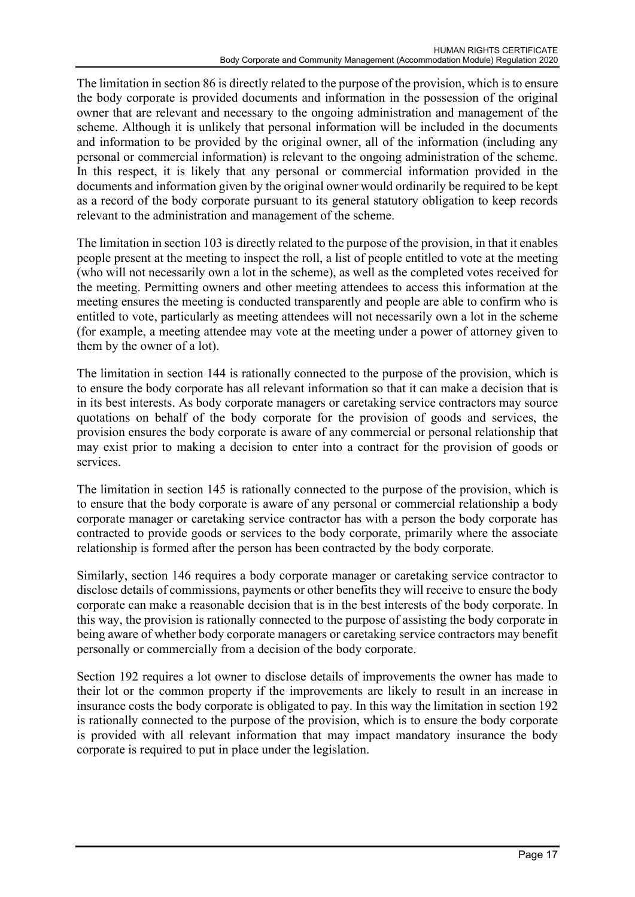The limitation in section 86 is directly related to the purpose of the provision, which is to ensure the body corporate is provided documents and information in the possession of the original owner that are relevant and necessary to the ongoing administration and management of the scheme. Although it is unlikely that personal information will be included in the documents and information to be provided by the original owner, all of the information (including any personal or commercial information) is relevant to the ongoing administration of the scheme. In this respect, it is likely that any personal or commercial information provided in the documents and information given by the original owner would ordinarily be required to be kept as a record of the body corporate pursuant to its general statutory obligation to keep records relevant to the administration and management of the scheme.

The limitation in section 103 is directly related to the purpose of the provision, in that it enables people present at the meeting to inspect the roll, a list of people entitled to vote at the meeting (who will not necessarily own a lot in the scheme), as well as the completed votes received for the meeting. Permitting owners and other meeting attendees to access this information at the meeting ensures the meeting is conducted transparently and people are able to confirm who is entitled to vote, particularly as meeting attendees will not necessarily own a lot in the scheme (for example, a meeting attendee may vote at the meeting under a power of attorney given to them by the owner of a lot).

The limitation in section 144 is rationally connected to the purpose of the provision, which is to ensure the body corporate has all relevant information so that it can make a decision that is in its best interests. As body corporate managers or caretaking service contractors may source quotations on behalf of the body corporate for the provision of goods and services, the provision ensures the body corporate is aware of any commercial or personal relationship that may exist prior to making a decision to enter into a contract for the provision of goods or services.

The limitation in section 145 is rationally connected to the purpose of the provision, which is to ensure that the body corporate is aware of any personal or commercial relationship a body corporate manager or caretaking service contractor has with a person the body corporate has contracted to provide goods or services to the body corporate, primarily where the associate relationship is formed after the person has been contracted by the body corporate.

Similarly, section 146 requires a body corporate manager or caretaking service contractor to disclose details of commissions, payments or other benefits they will receive to ensure the body corporate can make a reasonable decision that is in the best interests of the body corporate. In this way, the provision is rationally connected to the purpose of assisting the body corporate in being aware of whether body corporate managers or caretaking service contractors may benefit personally or commercially from a decision of the body corporate.

Section 192 requires a lot owner to disclose details of improvements the owner has made to their lot or the common property if the improvements are likely to result in an increase in insurance costs the body corporate is obligated to pay. In this way the limitation in section 192 is rationally connected to the purpose of the provision, which is to ensure the body corporate is provided with all relevant information that may impact mandatory insurance the body corporate is required to put in place under the legislation.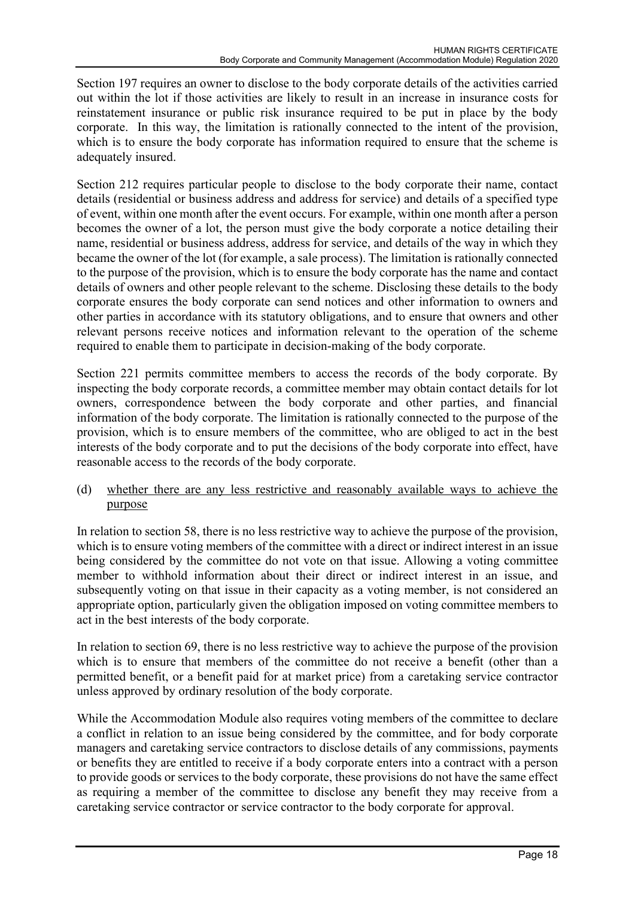Section 197 requires an owner to disclose to the body corporate details of the activities carried out within the lot if those activities are likely to result in an increase in insurance costs for reinstatement insurance or public risk insurance required to be put in place by the body corporate. In this way, the limitation is rationally connected to the intent of the provision, which is to ensure the body corporate has information required to ensure that the scheme is adequately insured.

Section 212 requires particular people to disclose to the body corporate their name, contact details (residential or business address and address for service) and details of a specified type of event, within one month after the event occurs. For example, within one month after a person becomes the owner of a lot, the person must give the body corporate a notice detailing their name, residential or business address, address for service, and details of the way in which they became the owner of the lot (for example, a sale process). The limitation is rationally connected to the purpose of the provision, which is to ensure the body corporate has the name and contact details of owners and other people relevant to the scheme. Disclosing these details to the body corporate ensures the body corporate can send notices and other information to owners and other parties in accordance with its statutory obligations, and to ensure that owners and other relevant persons receive notices and information relevant to the operation of the scheme required to enable them to participate in decision-making of the body corporate.

Section 221 permits committee members to access the records of the body corporate. By inspecting the body corporate records, a committee member may obtain contact details for lot owners, correspondence between the body corporate and other parties, and financial information of the body corporate. The limitation is rationally connected to the purpose of the provision, which is to ensure members of the committee, who are obliged to act in the best interests of the body corporate and to put the decisions of the body corporate into effect, have reasonable access to the records of the body corporate.

(d) whether there are any less restrictive and reasonably available ways to achieve the purpose

In relation to section 58, there is no less restrictive way to achieve the purpose of the provision, which is to ensure voting members of the committee with a direct or indirect interest in an issue being considered by the committee do not vote on that issue. Allowing a voting committee member to withhold information about their direct or indirect interest in an issue, and subsequently voting on that issue in their capacity as a voting member, is not considered an appropriate option, particularly given the obligation imposed on voting committee members to act in the best interests of the body corporate.

In relation to section 69, there is no less restrictive way to achieve the purpose of the provision which is to ensure that members of the committee do not receive a benefit (other than a permitted benefit, or a benefit paid for at market price) from a caretaking service contractor unless approved by ordinary resolution of the body corporate.

While the Accommodation Module also requires voting members of the committee to declare a conflict in relation to an issue being considered by the committee, and for body corporate managers and caretaking service contractors to disclose details of any commissions, payments or benefits they are entitled to receive if a body corporate enters into a contract with a person to provide goods or services to the body corporate, these provisions do not have the same effect as requiring a member of the committee to disclose any benefit they may receive from a caretaking service contractor or service contractor to the body corporate for approval.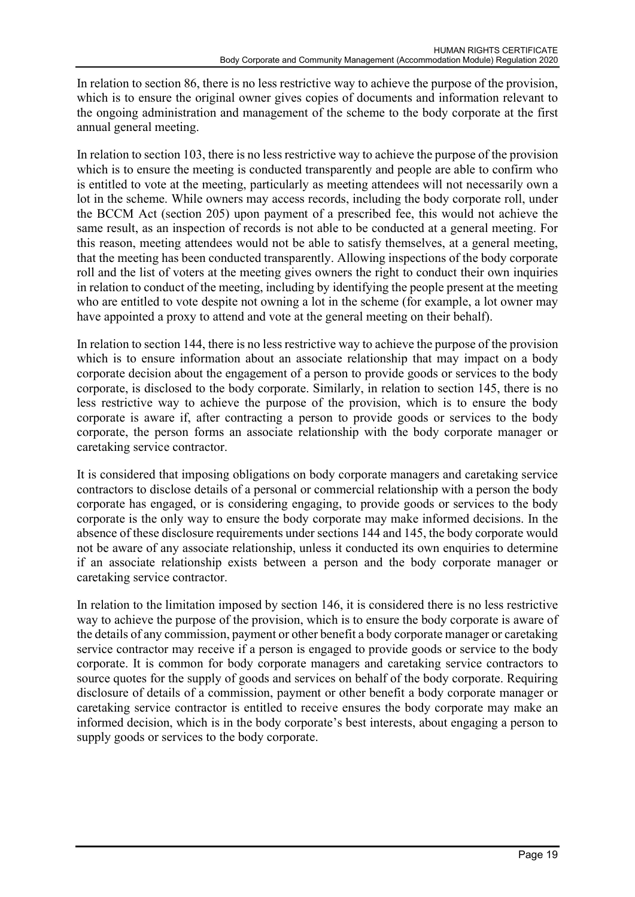In relation to section 86, there is no less restrictive way to achieve the purpose of the provision, which is to ensure the original owner gives copies of documents and information relevant to the ongoing administration and management of the scheme to the body corporate at the first annual general meeting.

In relation to section 103, there is no less restrictive way to achieve the purpose of the provision which is to ensure the meeting is conducted transparently and people are able to confirm who is entitled to vote at the meeting, particularly as meeting attendees will not necessarily own a lot in the scheme. While owners may access records, including the body corporate roll, under the BCCM Act (section 205) upon payment of a prescribed fee, this would not achieve the same result, as an inspection of records is not able to be conducted at a general meeting. For this reason, meeting attendees would not be able to satisfy themselves, at a general meeting, that the meeting has been conducted transparently. Allowing inspections of the body corporate roll and the list of voters at the meeting gives owners the right to conduct their own inquiries in relation to conduct of the meeting, including by identifying the people present at the meeting who are entitled to vote despite not owning a lot in the scheme (for example, a lot owner may have appointed a proxy to attend and vote at the general meeting on their behalf).

In relation to section 144, there is no less restrictive way to achieve the purpose of the provision which is to ensure information about an associate relationship that may impact on a body corporate decision about the engagement of a person to provide goods or services to the body corporate, is disclosed to the body corporate. Similarly, in relation to section 145, there is no less restrictive way to achieve the purpose of the provision, which is to ensure the body corporate is aware if, after contracting a person to provide goods or services to the body corporate, the person forms an associate relationship with the body corporate manager or caretaking service contractor.

It is considered that imposing obligations on body corporate managers and caretaking service contractors to disclose details of a personal or commercial relationship with a person the body corporate has engaged, or is considering engaging, to provide goods or services to the body corporate is the only way to ensure the body corporate may make informed decisions. In the absence of these disclosure requirements under sections 144 and 145, the body corporate would not be aware of any associate relationship, unless it conducted its own enquiries to determine if an associate relationship exists between a person and the body corporate manager or caretaking service contractor.

In relation to the limitation imposed by section 146, it is considered there is no less restrictive way to achieve the purpose of the provision, which is to ensure the body corporate is aware of the details of any commission, payment or other benefit a body corporate manager or caretaking service contractor may receive if a person is engaged to provide goods or service to the body corporate. It is common for body corporate managers and caretaking service contractors to source quotes for the supply of goods and services on behalf of the body corporate. Requiring disclosure of details of a commission, payment or other benefit a body corporate manager or caretaking service contractor is entitled to receive ensures the body corporate may make an informed decision, which is in the body corporate's best interests, about engaging a person to supply goods or services to the body corporate.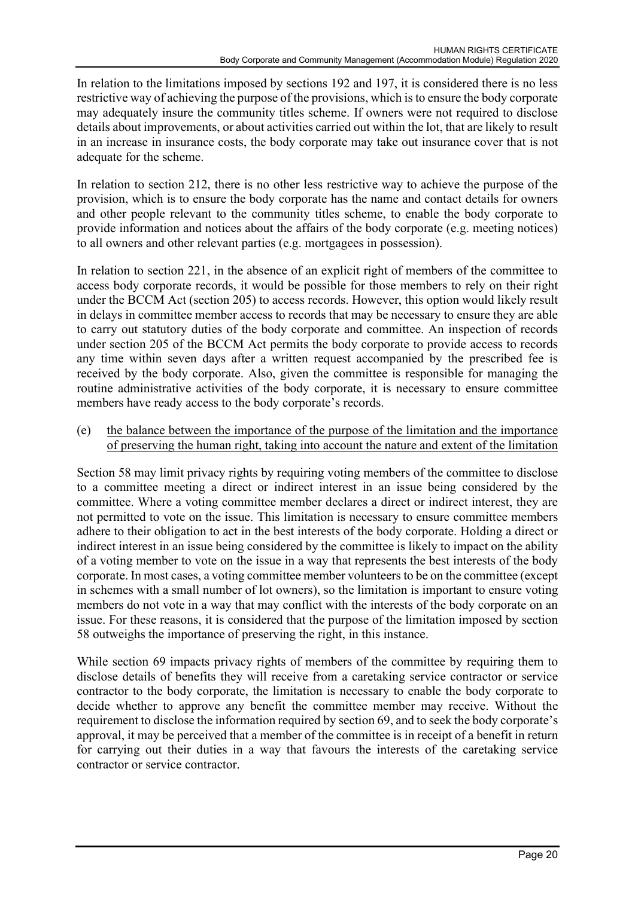In relation to the limitations imposed by sections 192 and 197, it is considered there is no less restrictive way of achieving the purpose of the provisions, which is to ensure the body corporate may adequately insure the community titles scheme. If owners were not required to disclose details about improvements, or about activities carried out within the lot, that are likely to result in an increase in insurance costs, the body corporate may take out insurance cover that is not adequate for the scheme.

In relation to section 212, there is no other less restrictive way to achieve the purpose of the provision, which is to ensure the body corporate has the name and contact details for owners and other people relevant to the community titles scheme, to enable the body corporate to provide information and notices about the affairs of the body corporate (e.g. meeting notices) to all owners and other relevant parties (e.g. mortgagees in possession).

In relation to section 221, in the absence of an explicit right of members of the committee to access body corporate records, it would be possible for those members to rely on their right under the BCCM Act (section 205) to access records. However, this option would likely result in delays in committee member access to records that may be necessary to ensure they are able to carry out statutory duties of the body corporate and committee. An inspection of records under section 205 of the BCCM Act permits the body corporate to provide access to records any time within seven days after a written request accompanied by the prescribed fee is received by the body corporate. Also, given the committee is responsible for managing the routine administrative activities of the body corporate, it is necessary to ensure committee members have ready access to the body corporate's records.

(e) the balance between the importance of the purpose of the limitation and the importance of preserving the human right, taking into account the nature and extent of the limitation

Section 58 may limit privacy rights by requiring voting members of the committee to disclose to a committee meeting a direct or indirect interest in an issue being considered by the committee. Where a voting committee member declares a direct or indirect interest, they are not permitted to vote on the issue. This limitation is necessary to ensure committee members adhere to their obligation to act in the best interests of the body corporate. Holding a direct or indirect interest in an issue being considered by the committee is likely to impact on the ability of a voting member to vote on the issue in a way that represents the best interests of the body corporate. In most cases, a voting committee member volunteers to be on the committee (except in schemes with a small number of lot owners), so the limitation is important to ensure voting members do not vote in a way that may conflict with the interests of the body corporate on an issue. For these reasons, it is considered that the purpose of the limitation imposed by section 58 outweighs the importance of preserving the right, in this instance.

While section 69 impacts privacy rights of members of the committee by requiring them to disclose details of benefits they will receive from a caretaking service contractor or service contractor to the body corporate, the limitation is necessary to enable the body corporate to decide whether to approve any benefit the committee member may receive. Without the requirement to disclose the information required by section 69, and to seek the body corporate's approval, it may be perceived that a member of the committee is in receipt of a benefit in return for carrying out their duties in a way that favours the interests of the caretaking service contractor or service contractor.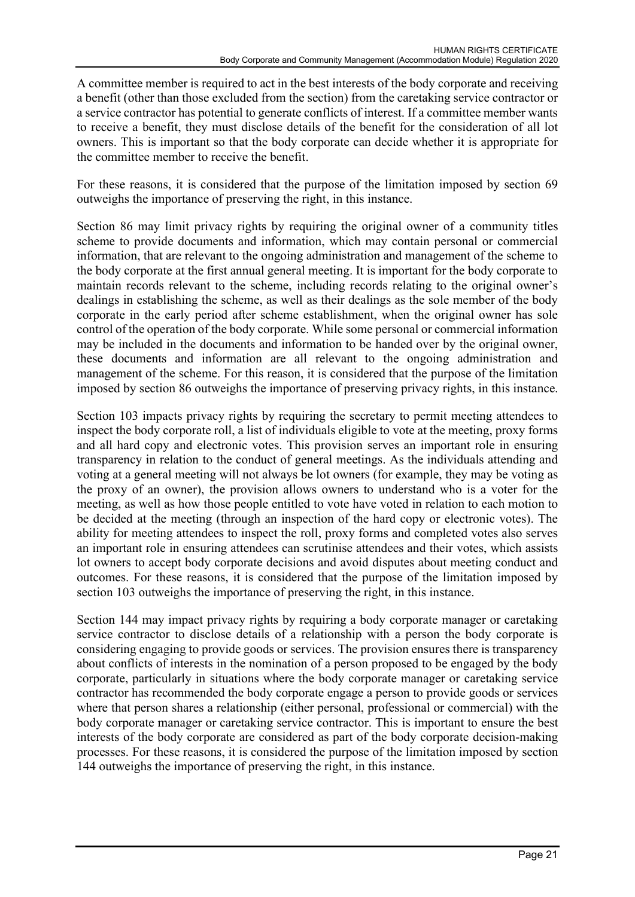A committee member is required to act in the best interests of the body corporate and receiving a benefit (other than those excluded from the section) from the caretaking service contractor or a service contractor has potential to generate conflicts of interest. If a committee member wants to receive a benefit, they must disclose details of the benefit for the consideration of all lot owners. This is important so that the body corporate can decide whether it is appropriate for the committee member to receive the benefit.

For these reasons, it is considered that the purpose of the limitation imposed by section 69 outweighs the importance of preserving the right, in this instance.

Section 86 may limit privacy rights by requiring the original owner of a community titles scheme to provide documents and information, which may contain personal or commercial information, that are relevant to the ongoing administration and management of the scheme to the body corporate at the first annual general meeting. It is important for the body corporate to maintain records relevant to the scheme, including records relating to the original owner's dealings in establishing the scheme, as well as their dealings as the sole member of the body corporate in the early period after scheme establishment, when the original owner has sole control of the operation of the body corporate. While some personal or commercial information may be included in the documents and information to be handed over by the original owner, these documents and information are all relevant to the ongoing administration and management of the scheme. For this reason, it is considered that the purpose of the limitation imposed by section 86 outweighs the importance of preserving privacy rights, in this instance.

Section 103 impacts privacy rights by requiring the secretary to permit meeting attendees to inspect the body corporate roll, a list of individuals eligible to vote at the meeting, proxy forms and all hard copy and electronic votes. This provision serves an important role in ensuring transparency in relation to the conduct of general meetings. As the individuals attending and voting at a general meeting will not always be lot owners (for example, they may be voting as the proxy of an owner), the provision allows owners to understand who is a voter for the meeting, as well as how those people entitled to vote have voted in relation to each motion to be decided at the meeting (through an inspection of the hard copy or electronic votes). The ability for meeting attendees to inspect the roll, proxy forms and completed votes also serves an important role in ensuring attendees can scrutinise attendees and their votes, which assists lot owners to accept body corporate decisions and avoid disputes about meeting conduct and outcomes. For these reasons, it is considered that the purpose of the limitation imposed by section 103 outweighs the importance of preserving the right, in this instance.

Section 144 may impact privacy rights by requiring a body corporate manager or caretaking service contractor to disclose details of a relationship with a person the body corporate is considering engaging to provide goods or services. The provision ensures there is transparency about conflicts of interests in the nomination of a person proposed to be engaged by the body corporate, particularly in situations where the body corporate manager or caretaking service contractor has recommended the body corporate engage a person to provide goods or services where that person shares a relationship (either personal, professional or commercial) with the body corporate manager or caretaking service contractor. This is important to ensure the best interests of the body corporate are considered as part of the body corporate decision-making processes. For these reasons, it is considered the purpose of the limitation imposed by section 144 outweighs the importance of preserving the right, in this instance.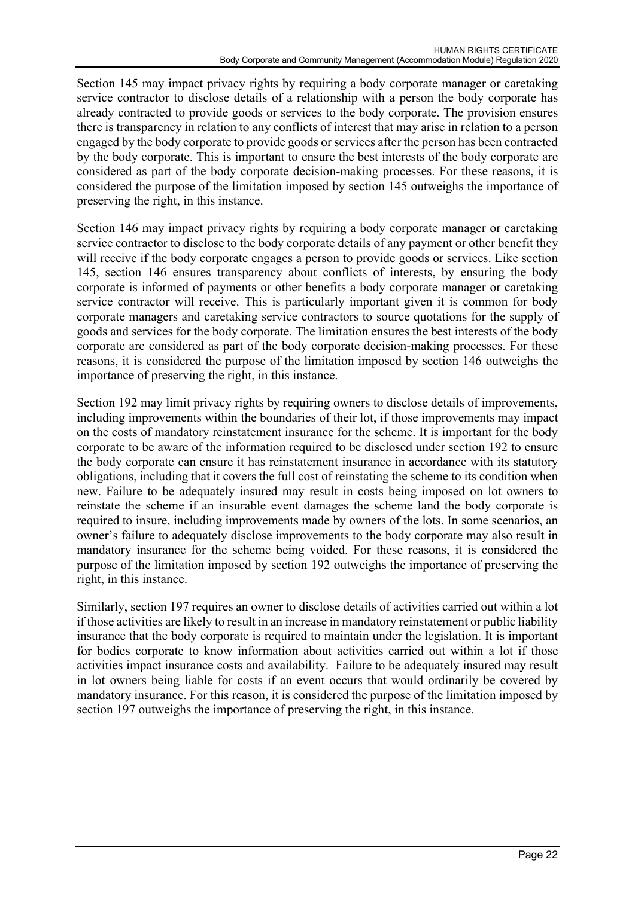Section 145 may impact privacy rights by requiring a body corporate manager or caretaking service contractor to disclose details of a relationship with a person the body corporate has already contracted to provide goods or services to the body corporate. The provision ensures there is transparency in relation to any conflicts of interest that may arise in relation to a person engaged by the body corporate to provide goods or services after the person has been contracted by the body corporate. This is important to ensure the best interests of the body corporate are considered as part of the body corporate decision-making processes. For these reasons, it is considered the purpose of the limitation imposed by section 145 outweighs the importance of preserving the right, in this instance.

Section 146 may impact privacy rights by requiring a body corporate manager or caretaking service contractor to disclose to the body corporate details of any payment or other benefit they will receive if the body corporate engages a person to provide goods or services. Like section 145, section 146 ensures transparency about conflicts of interests, by ensuring the body corporate is informed of payments or other benefits a body corporate manager or caretaking service contractor will receive. This is particularly important given it is common for body corporate managers and caretaking service contractors to source quotations for the supply of goods and services for the body corporate. The limitation ensures the best interests of the body corporate are considered as part of the body corporate decision-making processes. For these reasons, it is considered the purpose of the limitation imposed by section 146 outweighs the importance of preserving the right, in this instance.

Section 192 may limit privacy rights by requiring owners to disclose details of improvements, including improvements within the boundaries of their lot, if those improvements may impact on the costs of mandatory reinstatement insurance for the scheme. It is important for the body corporate to be aware of the information required to be disclosed under section 192 to ensure the body corporate can ensure it has reinstatement insurance in accordance with its statutory obligations, including that it covers the full cost of reinstating the scheme to its condition when new. Failure to be adequately insured may result in costs being imposed on lot owners to reinstate the scheme if an insurable event damages the scheme land the body corporate is required to insure, including improvements made by owners of the lots. In some scenarios, an owner's failure to adequately disclose improvements to the body corporate may also result in mandatory insurance for the scheme being voided. For these reasons, it is considered the purpose of the limitation imposed by section 192 outweighs the importance of preserving the right, in this instance.

Similarly, section 197 requires an owner to disclose details of activities carried out within a lot if those activities are likely to result in an increase in mandatory reinstatement or public liability insurance that the body corporate is required to maintain under the legislation. It is important for bodies corporate to know information about activities carried out within a lot if those activities impact insurance costs and availability. Failure to be adequately insured may result in lot owners being liable for costs if an event occurs that would ordinarily be covered by mandatory insurance. For this reason, it is considered the purpose of the limitation imposed by section 197 outweighs the importance of preserving the right, in this instance.